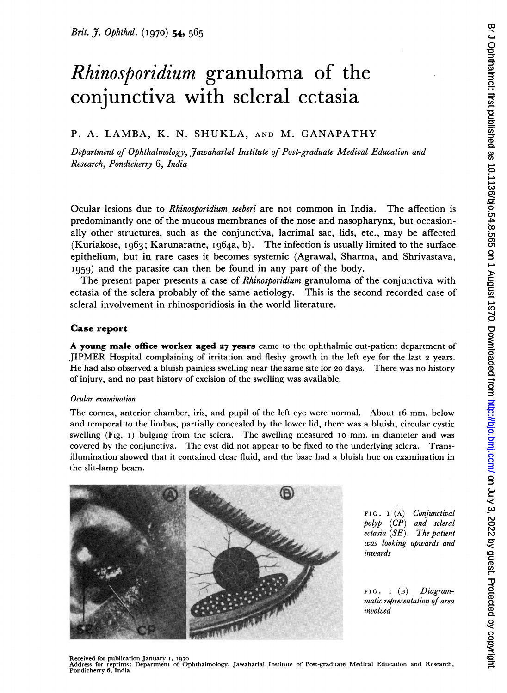# Rhinosporidium granuloma of the conjunctiva with scleral ectasia

## P. A. LAMBA, K. N. SHUKLA, AND M. GANAPATHY

Department of Ophthalmology, Jawaharlal Institute of Post-graduate Medical Education and Research, Pondicherry 6, India

Ocular lesions due to Rhinosporidium seeberi are not common in India. The affection is predominantly one of the mucous membranes of the nose and nasopharynx, but occasionally other structures, such as the conjunctiva, lacrimal sac, lids, etc., may be affected (Kuriakose, 1963; Karunaratne, 1964a, b). The infection is usually limited to the surface epithelium, but in rare cases it becomes systemic (Agrawal, Sharma, and Shrivastava, 1959) and the parasite can then be found in any part of the body.

The present paper presents a case of Rhinosporidium granuloma of the conjunctiva with ectasia of the sclera probably of the same aetiology. This is the second recorded case of scleral involvement in rhinosporidiosis in the world literature.

## Case report

A young male office worker aged <sup>27</sup> years came to the ophthalmic out-patient department of JIPMER Hospital complaining of irritation and fleshy growth in the left eye for the last <sup>2</sup> years. He had also observed a bluish painless swelling near the same site for 2o days. There was no history of injury, and no past history of excision of the swelling was available.

#### Ocular examination

The cornea, anterior chamber, iris, and pupil of the left eye were normal. About I6 mm. below and temporal to the limbus, partially concealed by the lower lid, there was a bluish, circular cystic swelling (Fig. 1) bulging from the sclera. The swelling measured 10 mm. in diameter and was covered by the conjunctiva. The cyst did not appear to be fixed to the underlying sclera. Transillumination showed that it contained clear fluid, and the base had a bluish hue on examination in the slit-lamp beam.



FIG. I (A) Conjunctival polyp (CP) and scleral ectasia (SE). The patient was looking upwards and inwards

FIG. I (B) Diagrammatic representation of area involved

Received for publication January 1, 1970<br>Address for reprints: Department of Ophthalmology, Jawaharlal Institute of Post-graduate Medical Education and Research,<br>Pondicherry 6, India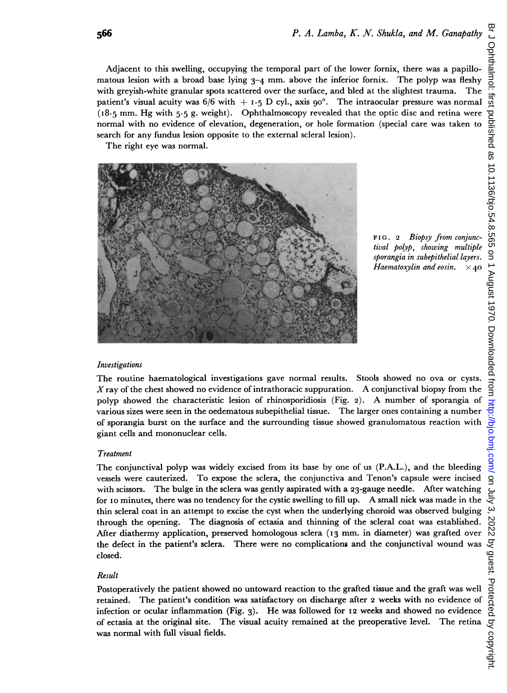Adjacent to this swelling, occupying the temporal part of the lower fornix, there was a papillomatous lesion with a broad base lying  $3-4$  mm. above the inferior fornix. The polyp was fleshy with greyish-white granular spots scattered over the surface, and bled at the slightest trauma. The patient's visual acuity was  $6/6$  with  $+ 1.5$  D cyl., axis  $90^\circ$ . The intraocular pressure was normal  $(18.5$  mm. Hg with 5.5 g, weight). Ophthalmoscopy revealed that the optic disc and retina were normal with no evidence of elevation, degeneration, or hole formation (special care was taken to search for any fundus lesion opposite to the external scleral lesion).

The right eye was normal.



FIG. 2 Biopsy from conjunctival polyp, showing multiple sporangia in subepithelial layers. Haematoxylin and eosin.  $\times$ 40

#### Investigations

The routine haematological investigations gave normal results. Stools showed no ova or cysts. X ray of the chest showed no evidence of intrathoracic suppuration. A conjunctival biopsy from the polyp showed the characteristic lesion of rhinosporidiosis (Fig. 2). A number of sporangia of various sizes were seen in the oedematous subepithelial tissue. The larger ones containing a number of sporangia burst on the surface and the surrounding tissue showed granulomatous reaction with giant cells and mononuclear cells.

#### Treatment

The conjunctival polyp was widely excised from its base by one of us (P.A.L.), and the bleeding vessels were cauterized. To expose the sclera, the conjunctiva and Tenon's capsule were incised with scissors. The bulge in the sclera was gently aspirated with a 23-gauge needle. After watching for i0 minutes, there was no tendency for the cystic swelling to fill up. A small nick was made in the thin scleral coat in an attempt to excise the cyst when the underlying choroid was observed bulging through the opening. The diagnosis of ectasia and thinning of the scleral coat was established. After diathermy application, preserved homologous sclera (13 mm. in diameter) was grafted over the defect in the patient's sclera. There were no complications and the conjunctival wound was closed.

#### Result

Postoperatively the patient showed no untoward reaction to the grafted tissue and the graft was well retained. The patient's condition was satisfactory on discharge after <sup>2</sup> weeks with no evidence of infection or ocular inflammation (Fig. 3). He was followed for 12 weeks and showed no evidence of ectasia at the original site. The visual acuity remained at the preoperative level. The retina was normal with full visual fields.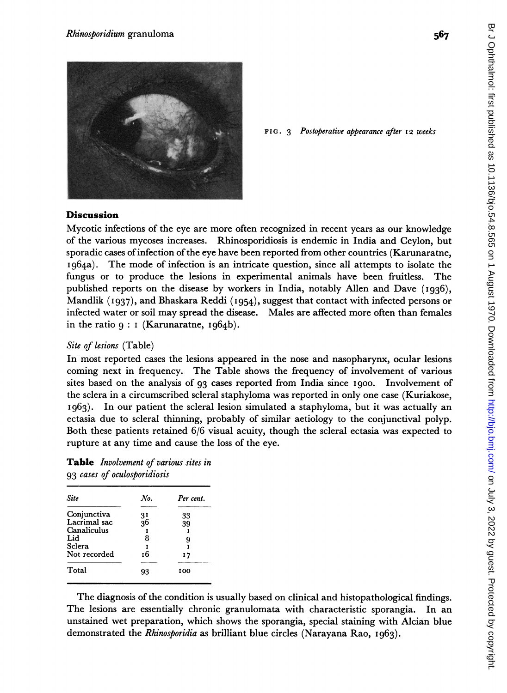

FIG. 3 Postoperative appearance after 12 weeks

#### **Discussion**

Mycotic infections of the eye are more often recognized in recent years as our knowledge of the various mycoses increases. Rhinosporidiosis is endemic in India and Ceylon, but sporadic cases ofinfection of the eye have been reported from other countries (Karunaratne, I964a). The mode of infection is an intricate question, since all attempts to isolate the fungus or to produce the lesions in experimental animals have been fruitless. The published reports on the disease by workers in India, notably Allen and Dave (1936), Mandlik (I937), and Bhaskara Reddi (1954), suggest that contact with infected persons or infected water or soil may spread the disease. Males are affected more often than females in the ratio  $q : I$  (Karunaratne,  $Iq64b$ ).

## Site of lesions (Table)

In most reported cases the lesions appeared in the nose and nasopharynx, ocular lesions coming next in frequency. The Table shows the frequency of involvement of various sites based on the analysis of 93 cases reported from India since I900. Involvement of the sclera in a circumscribed scleral staphyloma was reported in only one case (Kuriakose,  $1963$ . In our patient the scleral lesion simulated a staphyloma, but it was actually an ectasia due to scleral thinning, probably of similar aetiology to the conjunctival polyp. Both these patients retained 6/6 visual acuity, though the scleral ectasia was expected to rupture at any time and cause the loss of the eye.

Table Involvement of various sites in 93 cases of oculosporidiosis

| Site         | No.             | Per cent. |
|--------------|-----------------|-----------|
| Conjunctiva  |                 | 33        |
| Lacrimal sac | $\frac{31}{36}$ | 39        |
| Canaliculus  |                 | I         |
| Lid          | 8               | 9         |
| Sclera       |                 | т         |
| Not recorded | 16              | 17        |
|              |                 |           |
| Total        | 93              | 100       |
|              |                 |           |

The diagnosis of the condition is usually based on clinical and histopathological findings. The lesions are essentially chronic granulomata with characteristic sporangia. In an unstained wet preparation, which shows the sporangia, special staining with Alcian blue demonstrated the Rhinosporidia as brilliant blue circles (Narayana Rao, I963).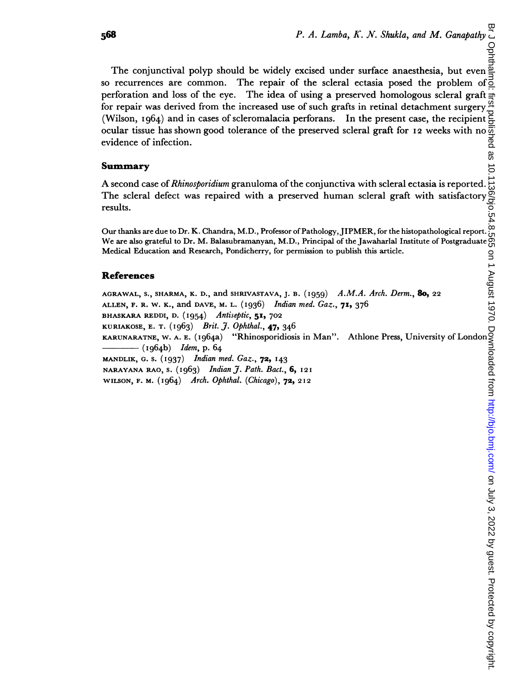br Jon July 1980 by 10.1136 by guest protect published as 10.000 by copyright. 1970. Downloaded from the clumb as 10.1136/bjo.54.8.726 on 10.1141 August 1970. Download from the clumb is 10.1136. Download in the clumb is 20 Ophtha The conjunctival polyp should be widely excised under surface anaesthesia, but even so recurrences are common. The repair of the scleral ectasia posed the problem of perforation and loss of the eye. The idea of using a preserved homologous scleral graft for repair was derived from the increased use of such grafts in retinal detachment surgery (Wilson, I964) and in cases of scleromalacia perforans. In the present case, the recipient evidence of infection.

## Summary

ocular tissue has shown good tolerance of the preserved scleral graft for I2 weeks with no  $\overline{3}$ <br>
evidence of infection.<br> **Summary**<br>
A second case of *Rhinosporidium* granuloma of the conjunctiva with scleral ectasia i A second case of Rhinosporidium granuloma of the conjunctiva with scleral ectasia is reported. The scleral defect was repaired with a preserved human scleral graft with satisfactory results.

Our thanks are due to Dr. K. Chandra, M.D., Professor of Pathology,JIPMER, for the histopathological report. We are also grateful to Dr. M. Balasubramanyan, M.D., Principal of the Jawaharlal Institute of Postgraduate Medical Education and Research, Pondicherry, for permission to publish this article.

## References

AGRAWAL, S., SHARMA, K. D., and SHRIVASTAVA, J. B.  $(1959)$  A.M.A. Arch. Derm., 80, 22 ALLEN, F. R. W. K., and DAVE, M. L. (1936) Indian med. Gaz., 71, 376 BHASKARA REDDI, D. (1954) Antiseptic, 51, 702 KURIAKOSE, E. T. (I963) Brit. J. Ophthal., 47, 346 Medical Education and Recearch, Pondicherry, for permission to publish this article.<br> **References**<br>  $\sum_{N \in \mathbb{N}} \sum_{k=1}^{N}$ <br>  $\sum_{N \in \mathbb{N}} \sum_{k=1}^{N}$ <br>  $\sum_{N \in \mathbb{N}} \sum_{k=1}^{N} \sum_{k=1}^{N}$ <br>  $\sum_{N \in \mathbb{N}} \sum_{k=1}^{N} \sum_{k=1}^{N}$  $-$  (1964b) *Idem*, p. 64 MANDLIK, G. S. (1937) Indian med. Gaz., 72, 143 NARAYANA RAO, S. (i 963) Indian J. Path. Bact., 6, 12 <sup>I</sup> WILSON, F. M. (I964) Arch. Ophthal. (Chicago), 72, 2I2